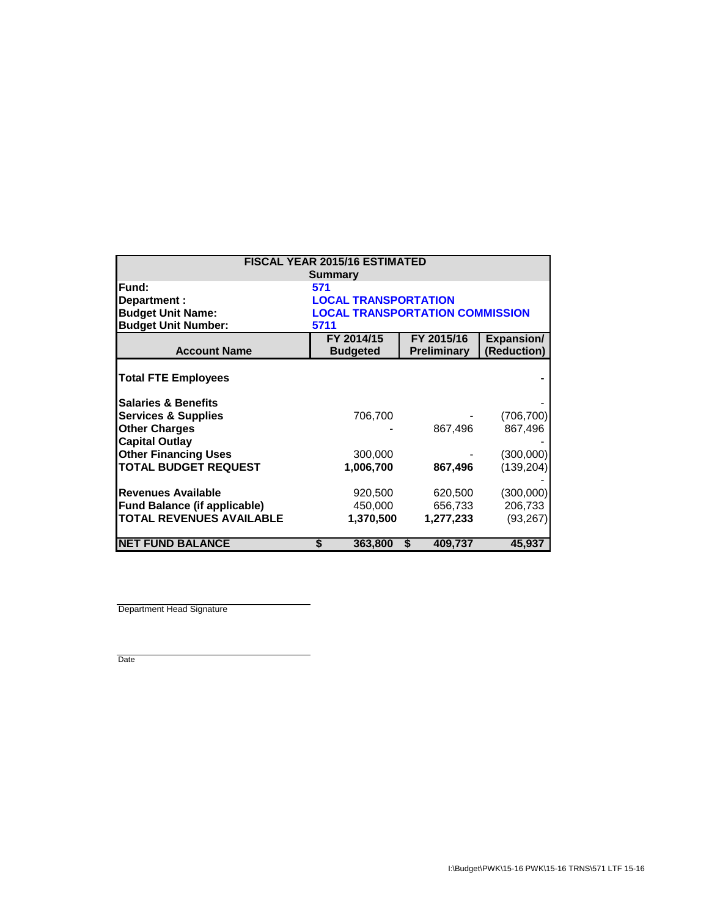| <b>FISCAL YEAR 2015/16 ESTIMATED</b> |                                        |               |                       |  |  |  |
|--------------------------------------|----------------------------------------|---------------|-----------------------|--|--|--|
| <b>Summary</b>                       |                                        |               |                       |  |  |  |
| Fund:                                | 571                                    |               |                       |  |  |  |
| Department :                         | <b>LOCAL TRANSPORTATION</b>            |               |                       |  |  |  |
| <b>Budget Unit Name:</b>             | <b>LOCAL TRANSPORTATION COMMISSION</b> |               |                       |  |  |  |
| <b>Budget Unit Number:</b>           | 5711                                   |               |                       |  |  |  |
|                                      | FY 2014/15                             | FY 2015/16    | <b>Expansion/</b>     |  |  |  |
| <b>Account Name</b>                  | <b>Budgeted</b>                        | Preliminary   | (Reduction)           |  |  |  |
|                                      |                                        |               |                       |  |  |  |
| <b>Total FTE Employees</b>           |                                        |               |                       |  |  |  |
|                                      |                                        |               |                       |  |  |  |
| <b>Salaries &amp; Benefits</b>       |                                        |               |                       |  |  |  |
| <b>Services &amp; Supplies</b>       | 706,700                                |               | (706, 700)<br>867,496 |  |  |  |
| <b>Other Charges</b>                 |                                        | 867,496       |                       |  |  |  |
| <b>Capital Outlay</b>                |                                        |               |                       |  |  |  |
| <b>Other Financing Uses</b>          | 300,000                                |               | (300,000)             |  |  |  |
| <b>TOTAL BUDGET REQUEST</b>          | 1,006,700                              | 867,496       | (139, 204)            |  |  |  |
|                                      |                                        |               |                       |  |  |  |
| <b>Revenues Available</b>            | 920,500                                | 620,500       | (300,000)             |  |  |  |
| <b>Fund Balance (if applicable)</b>  | 450,000                                | 656,733       | 206,733               |  |  |  |
| <b>TOTAL REVENUES AVAILABLE</b>      | 1,370,500                              | 1,277,233     | (93, 267)             |  |  |  |
|                                      |                                        |               |                       |  |  |  |
| <b>NET FUND BALANCE</b>              | 363,800<br>S                           | \$<br>409,737 | 45,937                |  |  |  |

Department Head Signature

Date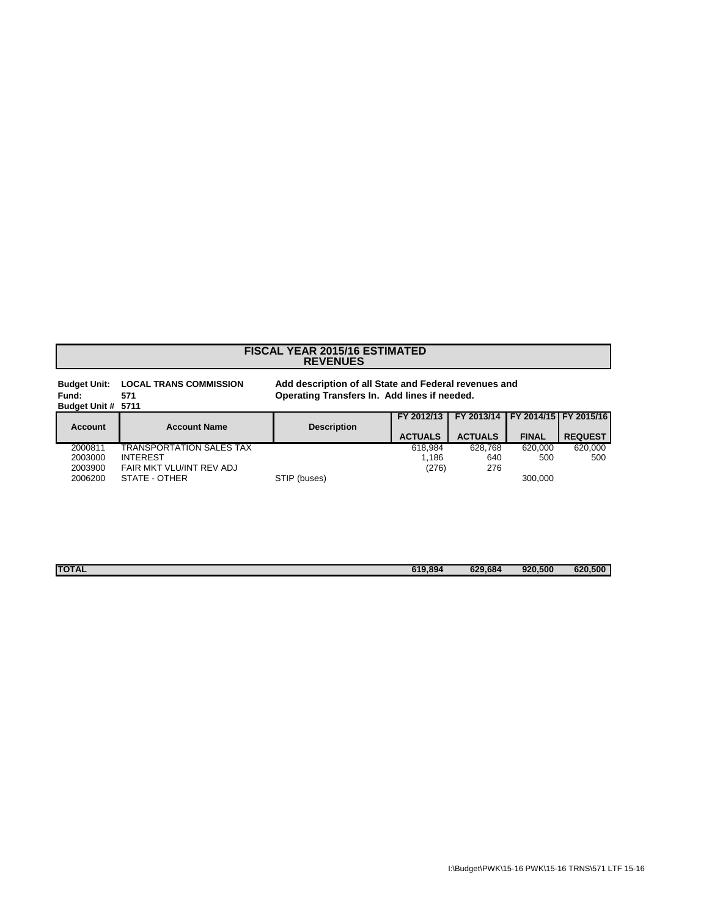## **REVENUES FISCAL YEAR 2015/16 ESTIMATED**

| <b>Budget Unit:</b><br>Fund:<br>Budget Unit # 5711 | <b>LOCAL TRANS COMMISSION</b><br>571 | Add description of all State and Federal revenues and<br>Operating Transfers In. Add lines if needed. |                |                |              |                               |
|----------------------------------------------------|--------------------------------------|-------------------------------------------------------------------------------------------------------|----------------|----------------|--------------|-------------------------------|
| <b>Account</b>                                     | <b>Account Name</b>                  | <b>Description</b>                                                                                    | FY 2012/13     | FY 2013/14     |              | <b>IFY 2014/15 FY 2015/16</b> |
|                                                    |                                      |                                                                                                       | <b>ACTUALS</b> | <b>ACTUALS</b> | <b>FINAL</b> | <b>REQUEST</b>                |
| 2000811                                            | <b>TRANSPORTATION SALES TAX</b>      |                                                                                                       | 618.984        | 628.768        | 620.000      | 620.000                       |
| 2003000                                            | <b>INTEREST</b>                      |                                                                                                       | 1.186          | 640            | 500          | 500                           |
| 2003900                                            | FAIR MKT VLU/INT REV ADJ             |                                                                                                       | (276)          | 276            |              |                               |
| 2006200                                            | STATE - OTHER                        | STIP (buses)                                                                                          |                |                | 300.000      |                               |

| <b>TOTAL</b> | 619,894 | 629,684 | 920,500 | 620,500 |
|--------------|---------|---------|---------|---------|
|              |         |         |         |         |